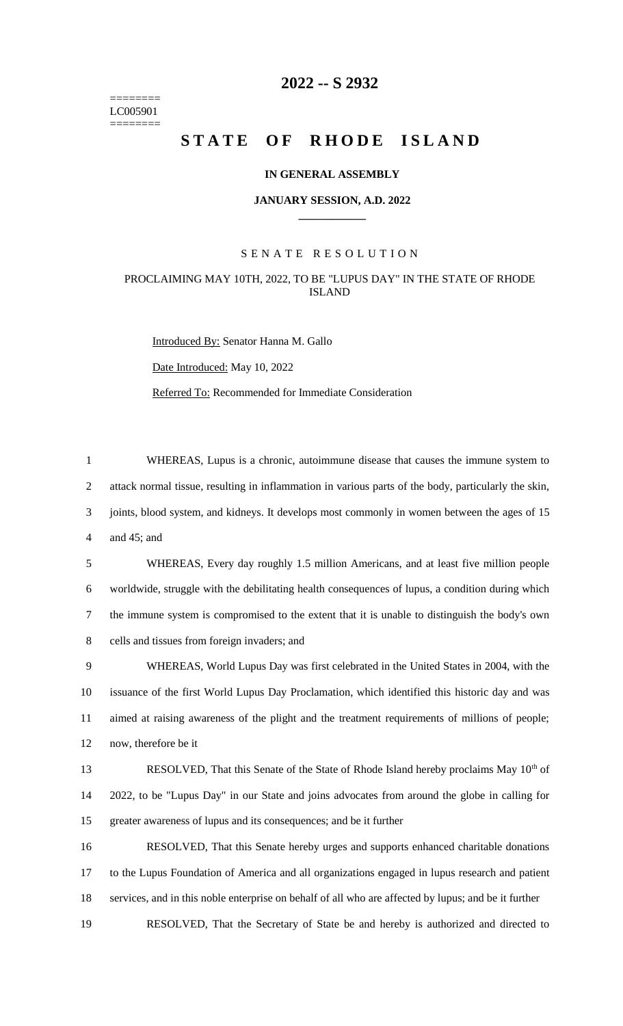======== LC005901 ========

# **2022 -- S 2932**

# **STATE OF RHODE ISLAND**

## **IN GENERAL ASSEMBLY**

#### **JANUARY SESSION, A.D. 2022 \_\_\_\_\_\_\_\_\_\_\_\_**

## S E N A T E R E S O L U T I O N

# PROCLAIMING MAY 10TH, 2022, TO BE "LUPUS DAY" IN THE STATE OF RHODE ISLAND

Introduced By: Senator Hanna M. Gallo

Date Introduced: May 10, 2022

Referred To: Recommended for Immediate Consideration

 WHEREAS, Lupus is a chronic, autoimmune disease that causes the immune system to attack normal tissue, resulting in inflammation in various parts of the body, particularly the skin, joints, blood system, and kidneys. It develops most commonly in women between the ages of 15 and 45; and

 WHEREAS, Every day roughly 1.5 million Americans, and at least five million people worldwide, struggle with the debilitating health consequences of lupus, a condition during which the immune system is compromised to the extent that it is unable to distinguish the body's own cells and tissues from foreign invaders; and

 WHEREAS, World Lupus Day was first celebrated in the United States in 2004, with the issuance of the first World Lupus Day Proclamation, which identified this historic day and was aimed at raising awareness of the plight and the treatment requirements of millions of people; now, therefore be it

RESOLVED, That this Senate of the State of Rhode Island hereby proclaims May 10<sup>th</sup> of 14 2022, to be "Lupus Day" in our State and joins advocates from around the globe in calling for 15 greater awareness of lupus and its consequences; and be it further

16 RESOLVED, That this Senate hereby urges and supports enhanced charitable donations 17 to the Lupus Foundation of America and all organizations engaged in lupus research and patient 18 services, and in this noble enterprise on behalf of all who are affected by lupus; and be it further

19 RESOLVED, That the Secretary of State be and hereby is authorized and directed to